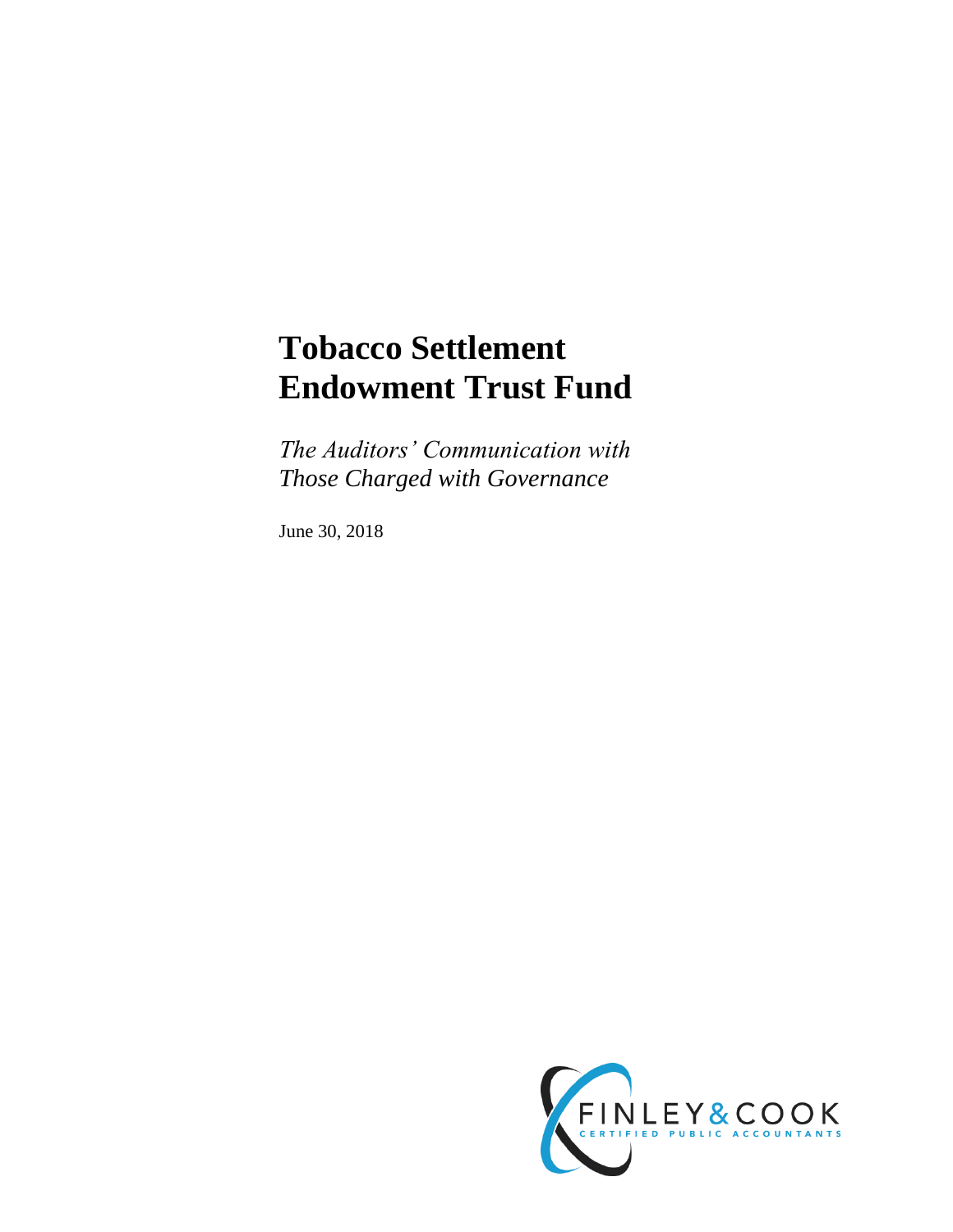# **Tobacco Settlement Endowment Trust Fund**

*The Auditors' Communication with Those Charged with Governance*

June 30, 2018

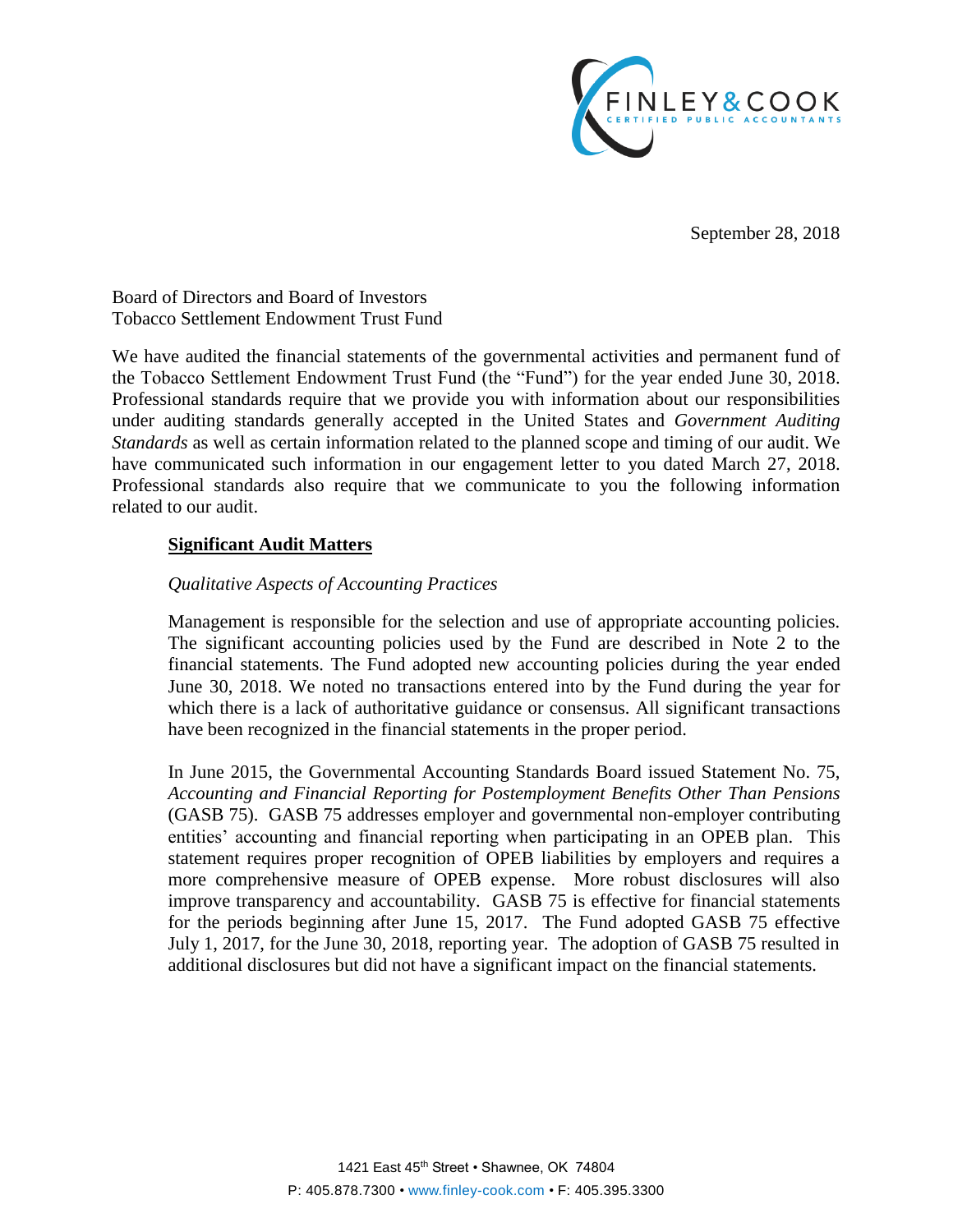

September 28, 2018

Board of Directors and Board of Investors Tobacco Settlement Endowment Trust Fund

We have audited the financial statements of the governmental activities and permanent fund of the Tobacco Settlement Endowment Trust Fund (the "Fund") for the year ended June 30, 2018. Professional standards require that we provide you with information about our responsibilities under auditing standards generally accepted in the United States and *Government Auditing Standards* as well as certain information related to the planned scope and timing of our audit. We have communicated such information in our engagement letter to you dated March 27, 2018. Professional standards also require that we communicate to you the following information related to our audit.

## **Significant Audit Matters**

## *Qualitative Aspects of Accounting Practices*

Management is responsible for the selection and use of appropriate accounting policies. The significant accounting policies used by the Fund are described in Note 2 to the financial statements. The Fund adopted new accounting policies during the year ended June 30, 2018. We noted no transactions entered into by the Fund during the year for which there is a lack of authoritative guidance or consensus. All significant transactions have been recognized in the financial statements in the proper period.

In June 2015, the Governmental Accounting Standards Board issued Statement No. 75, *Accounting and Financial Reporting for Postemployment Benefits Other Than Pensions* (GASB 75). GASB 75 addresses employer and governmental non-employer contributing entities' accounting and financial reporting when participating in an OPEB plan. This statement requires proper recognition of OPEB liabilities by employers and requires a more comprehensive measure of OPEB expense. More robust disclosures will also improve transparency and accountability. GASB 75 is effective for financial statements for the periods beginning after June 15, 2017. The Fund adopted GASB 75 effective July 1, 2017, for the June 30, 2018, reporting year. The adoption of GASB 75 resulted in additional disclosures but did not have a significant impact on the financial statements.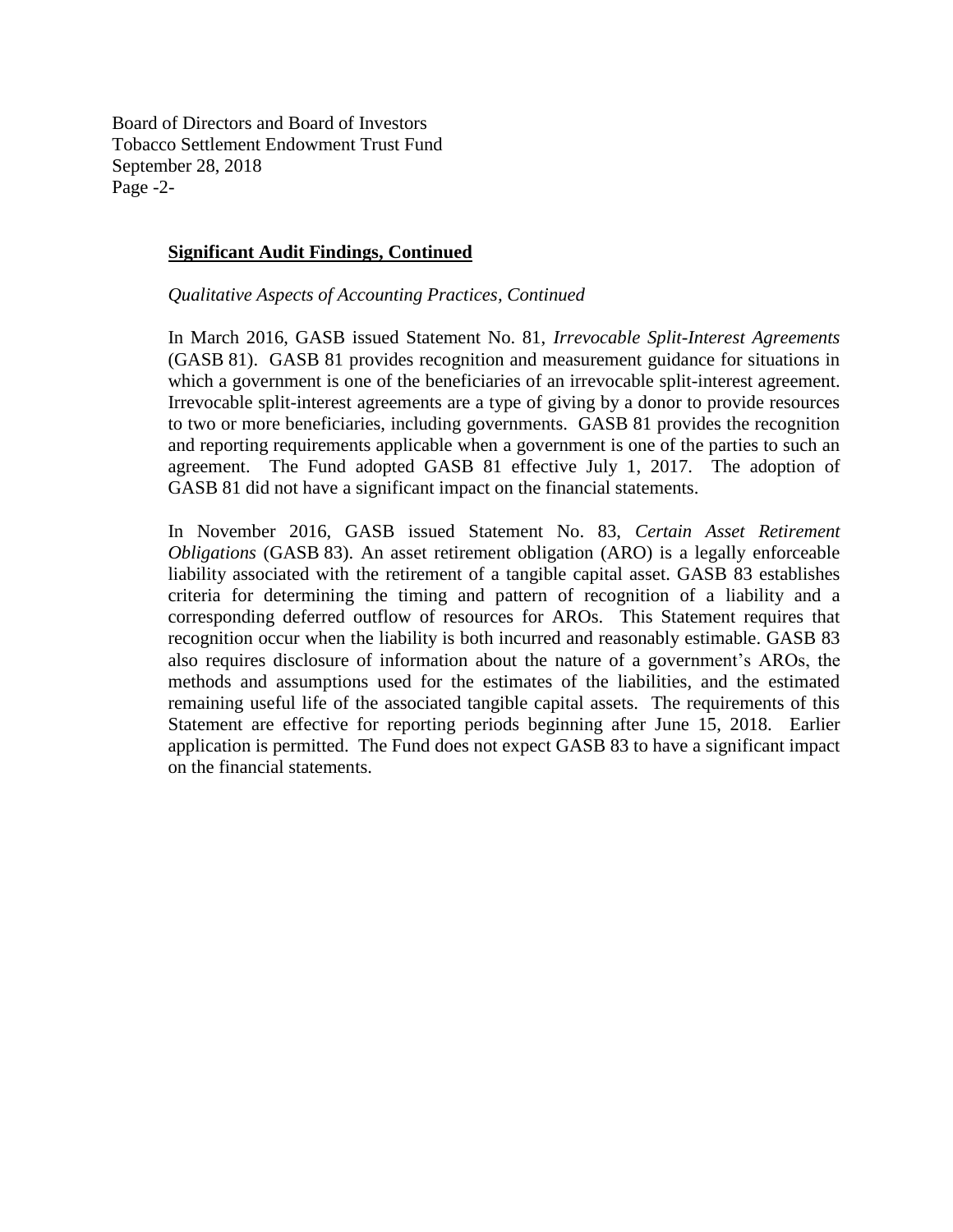Board of Directors and Board of Investors Tobacco Settlement Endowment Trust Fund September 28, 2018 Page -2-

## **Significant Audit Findings, Continued**

*Qualitative Aspects of Accounting Practices, Continued*

In March 2016, GASB issued Statement No. 81, *Irrevocable Split-Interest Agreements*  (GASB 81). GASB 81 provides recognition and measurement guidance for situations in which a government is one of the beneficiaries of an irrevocable split-interest agreement. Irrevocable split-interest agreements are a type of giving by a donor to provide resources to two or more beneficiaries, including governments. GASB 81 provides the recognition and reporting requirements applicable when a government is one of the parties to such an agreement. The Fund adopted GASB 81 effective July 1, 2017. The adoption of GASB 81 did not have a significant impact on the financial statements.

In November 2016, GASB issued Statement No. 83, *Certain Asset Retirement Obligations* (GASB 83). An asset retirement obligation (ARO) is a legally enforceable liability associated with the retirement of a tangible capital asset. GASB 83 establishes criteria for determining the timing and pattern of recognition of a liability and a corresponding deferred outflow of resources for AROs. This Statement requires that recognition occur when the liability is both incurred and reasonably estimable. GASB 83 also requires disclosure of information about the nature of a government's AROs, the methods and assumptions used for the estimates of the liabilities, and the estimated remaining useful life of the associated tangible capital assets. The requirements of this Statement are effective for reporting periods beginning after June 15, 2018. Earlier application is permitted. The Fund does not expect GASB 83 to have a significant impact on the financial statements.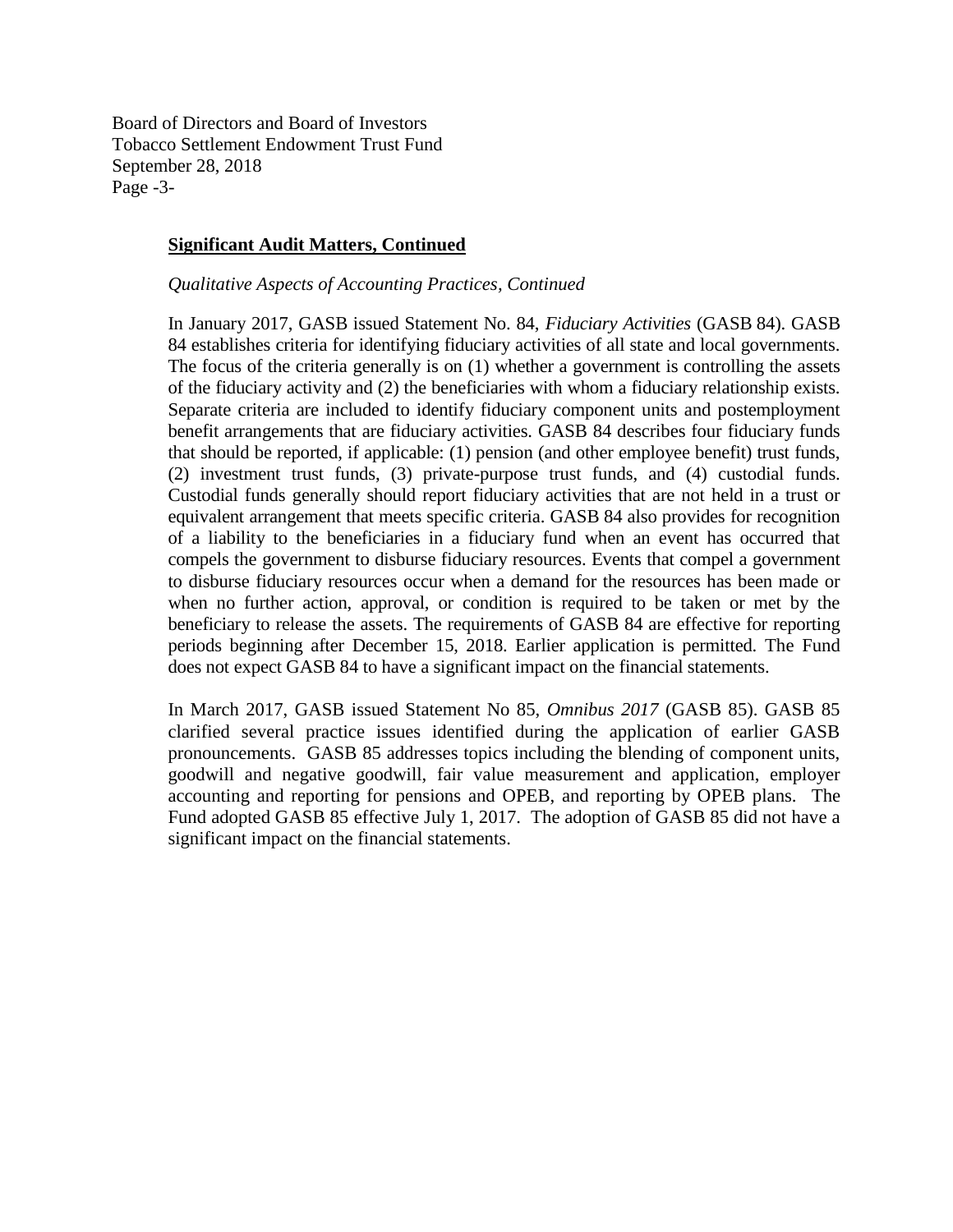Board of Directors and Board of Investors Tobacco Settlement Endowment Trust Fund September 28, 2018 Page -3-

#### **Significant Audit Matters, Continued**

#### *Qualitative Aspects of Accounting Practices, Continued*

In January 2017, GASB issued Statement No. 84, *Fiduciary Activities* (GASB 84). GASB 84 establishes criteria for identifying fiduciary activities of all state and local governments. The focus of the criteria generally is on (1) whether a government is controlling the assets of the fiduciary activity and (2) the beneficiaries with whom a fiduciary relationship exists. Separate criteria are included to identify fiduciary component units and postemployment benefit arrangements that are fiduciary activities. GASB 84 describes four fiduciary funds that should be reported, if applicable: (1) pension (and other employee benefit) trust funds, (2) investment trust funds, (3) private-purpose trust funds, and (4) custodial funds. Custodial funds generally should report fiduciary activities that are not held in a trust or equivalent arrangement that meets specific criteria. GASB 84 also provides for recognition of a liability to the beneficiaries in a fiduciary fund when an event has occurred that compels the government to disburse fiduciary resources. Events that compel a government to disburse fiduciary resources occur when a demand for the resources has been made or when no further action, approval, or condition is required to be taken or met by the beneficiary to release the assets. The requirements of GASB 84 are effective for reporting periods beginning after December 15, 2018. Earlier application is permitted. The Fund does not expect GASB 84 to have a significant impact on the financial statements.

In March 2017, GASB issued Statement No 85, *Omnibus 2017* (GASB 85). GASB 85 clarified several practice issues identified during the application of earlier GASB pronouncements. GASB 85 addresses topics including the blending of component units, goodwill and negative goodwill, fair value measurement and application, employer accounting and reporting for pensions and OPEB, and reporting by OPEB plans. The Fund adopted GASB 85 effective July 1, 2017. The adoption of GASB 85 did not have a significant impact on the financial statements.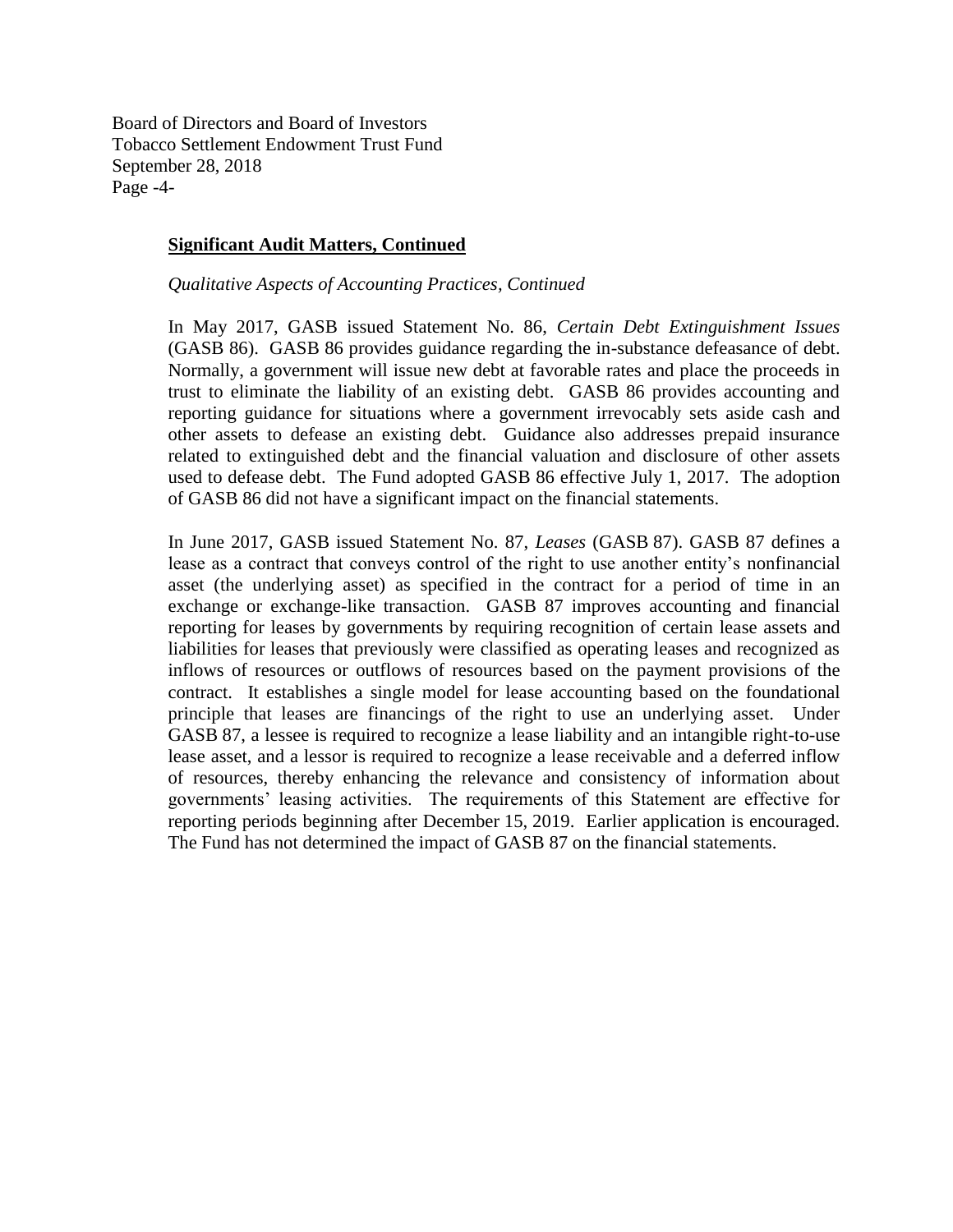Board of Directors and Board of Investors Tobacco Settlement Endowment Trust Fund September 28, 2018 Page -4-

#### **Significant Audit Matters, Continued**

*Qualitative Aspects of Accounting Practices, Continued*

In May 2017, GASB issued Statement No. 86, *Certain Debt Extinguishment Issues* (GASB 86). GASB 86 provides guidance regarding the in-substance defeasance of debt. Normally, a government will issue new debt at favorable rates and place the proceeds in trust to eliminate the liability of an existing debt. GASB 86 provides accounting and reporting guidance for situations where a government irrevocably sets aside cash and other assets to defease an existing debt. Guidance also addresses prepaid insurance related to extinguished debt and the financial valuation and disclosure of other assets used to defease debt. The Fund adopted GASB 86 effective July 1, 2017. The adoption of GASB 86 did not have a significant impact on the financial statements.

In June 2017, GASB issued Statement No. 87, *Leases* (GASB 87). GASB 87 defines a lease as a contract that conveys control of the right to use another entity's nonfinancial asset (the underlying asset) as specified in the contract for a period of time in an exchange or exchange-like transaction. GASB 87 improves accounting and financial reporting for leases by governments by requiring recognition of certain lease assets and liabilities for leases that previously were classified as operating leases and recognized as inflows of resources or outflows of resources based on the payment provisions of the contract. It establishes a single model for lease accounting based on the foundational principle that leases are financings of the right to use an underlying asset. Under GASB 87, a lessee is required to recognize a lease liability and an intangible right-to-use lease asset, and a lessor is required to recognize a lease receivable and a deferred inflow of resources, thereby enhancing the relevance and consistency of information about governments' leasing activities. The requirements of this Statement are effective for reporting periods beginning after December 15, 2019. Earlier application is encouraged. The Fund has not determined the impact of GASB 87 on the financial statements.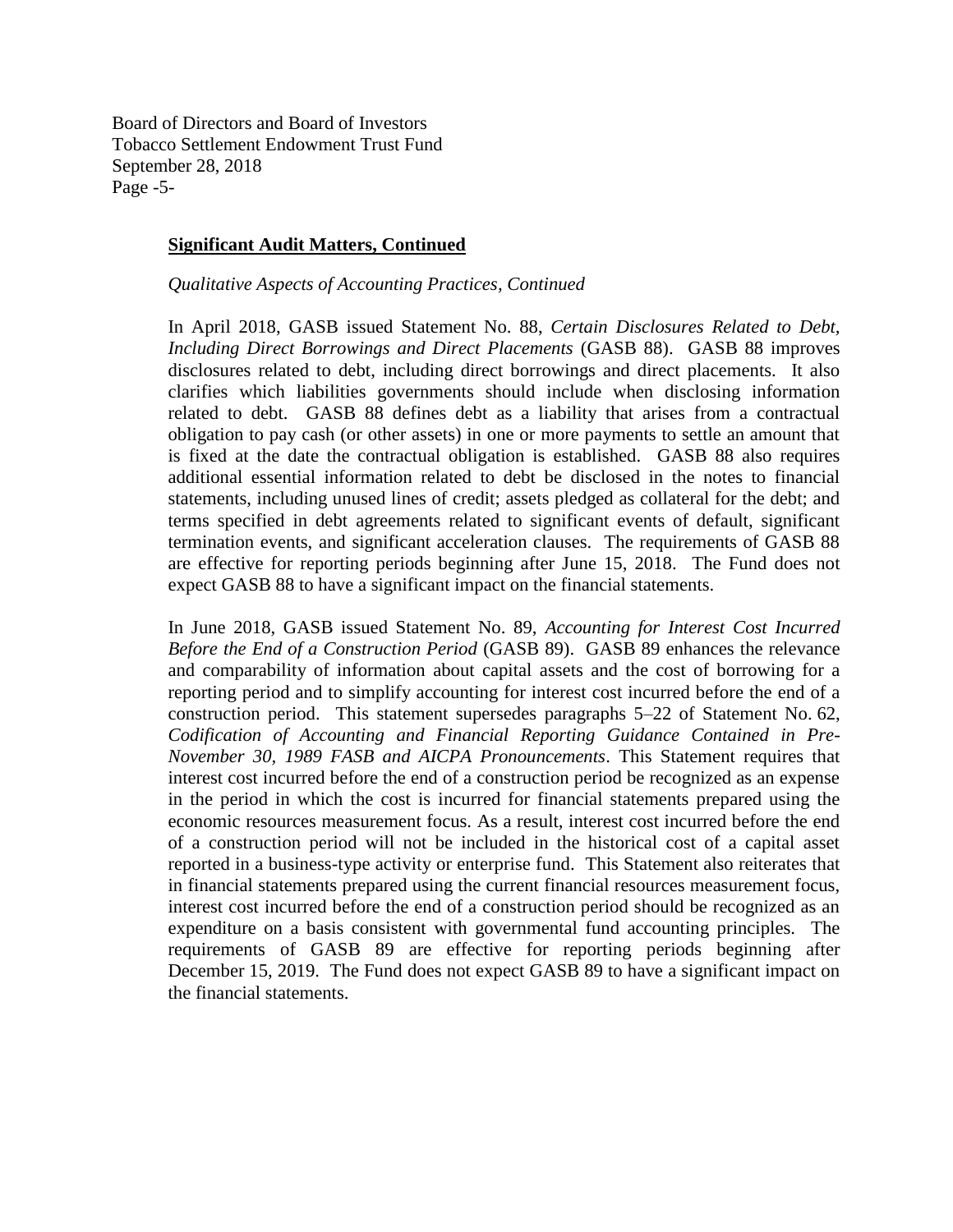Board of Directors and Board of Investors Tobacco Settlement Endowment Trust Fund September 28, 2018 Page -5-

#### **Significant Audit Matters, Continued**

*Qualitative Aspects of Accounting Practices, Continued*

In April 2018, GASB issued Statement No. 88, *Certain Disclosures Related to Debt, Including Direct Borrowings and Direct Placements* (GASB 88). GASB 88 improves disclosures related to debt, including direct borrowings and direct placements. It also clarifies which liabilities governments should include when disclosing information related to debt. GASB 88 defines debt as a liability that arises from a contractual obligation to pay cash (or other assets) in one or more payments to settle an amount that is fixed at the date the contractual obligation is established. GASB 88 also requires additional essential information related to debt be disclosed in the notes to financial statements, including unused lines of credit; assets pledged as collateral for the debt; and terms specified in debt agreements related to significant events of default, significant termination events, and significant acceleration clauses. The requirements of GASB 88 are effective for reporting periods beginning after June 15, 2018. The Fund does not expect GASB 88 to have a significant impact on the financial statements.

In June 2018, GASB issued Statement No. 89, *Accounting for Interest Cost Incurred Before the End of a Construction Period* (GASB 89). GASB 89 enhances the relevance and comparability of information about capital assets and the cost of borrowing for a reporting period and to simplify accounting for interest cost incurred before the end of a construction period. This statement supersedes paragraphs 5–22 of Statement No. 62, *Codification of Accounting and Financial Reporting Guidance Contained in Pre-November 30, 1989 FASB and AICPA Pronouncements*. This Statement requires that interest cost incurred before the end of a construction period be recognized as an expense in the period in which the cost is incurred for financial statements prepared using the economic resources measurement focus. As a result, interest cost incurred before the end of a construction period will not be included in the historical cost of a capital asset reported in a business-type activity or enterprise fund. This Statement also reiterates that in financial statements prepared using the current financial resources measurement focus, interest cost incurred before the end of a construction period should be recognized as an expenditure on a basis consistent with governmental fund accounting principles. The requirements of GASB 89 are effective for reporting periods beginning after December 15, 2019. The Fund does not expect GASB 89 to have a significant impact on the financial statements.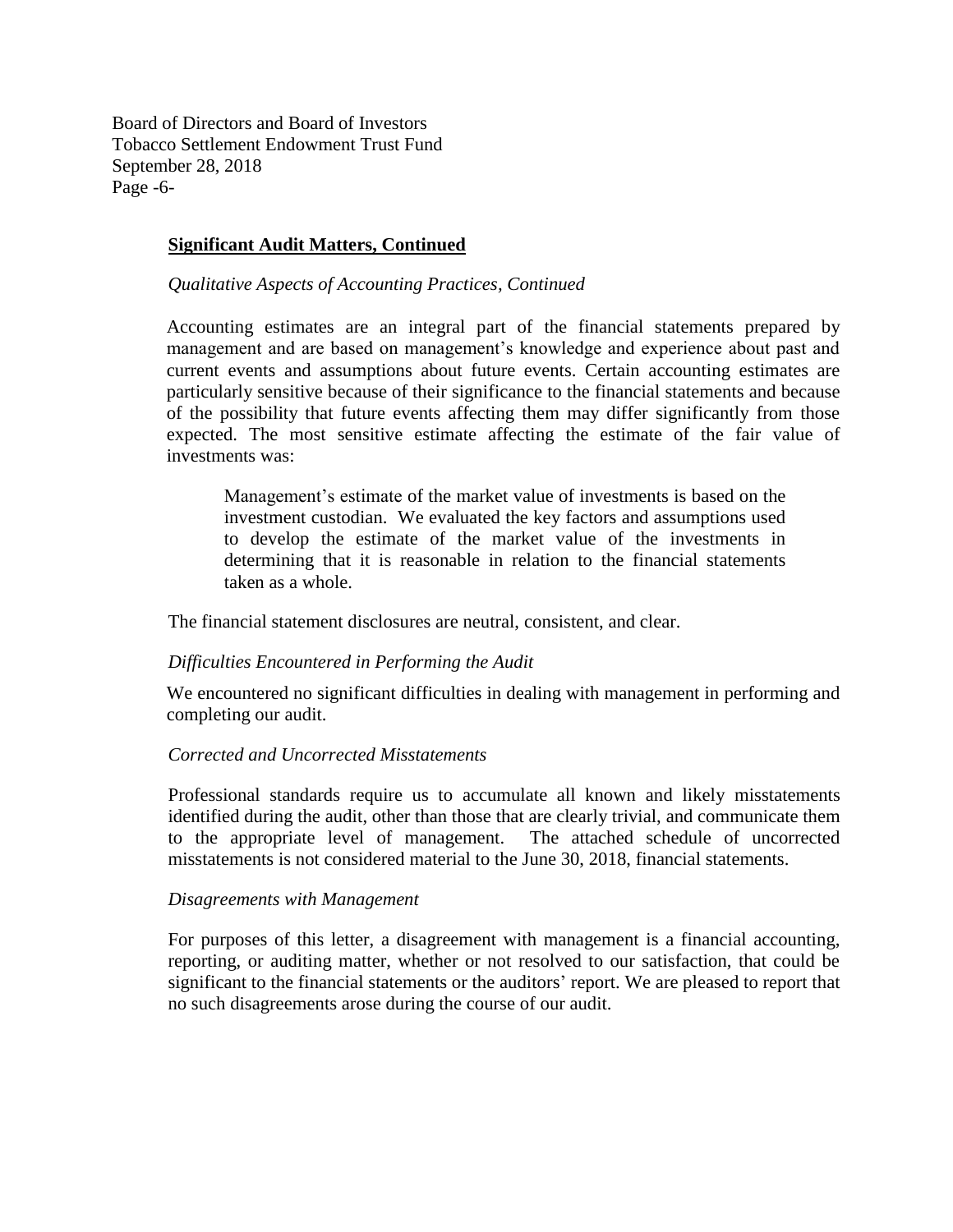Board of Directors and Board of Investors Tobacco Settlement Endowment Trust Fund September 28, 2018 Page -6-

## **Significant Audit Matters, Continued**

*Qualitative Aspects of Accounting Practices, Continued*

Accounting estimates are an integral part of the financial statements prepared by management and are based on management's knowledge and experience about past and current events and assumptions about future events. Certain accounting estimates are particularly sensitive because of their significance to the financial statements and because of the possibility that future events affecting them may differ significantly from those expected. The most sensitive estimate affecting the estimate of the fair value of investments was:

Management's estimate of the market value of investments is based on the investment custodian. We evaluated the key factors and assumptions used to develop the estimate of the market value of the investments in determining that it is reasonable in relation to the financial statements taken as a whole.

The financial statement disclosures are neutral, consistent, and clear.

#### *Difficulties Encountered in Performing the Audit*

We encountered no significant difficulties in dealing with management in performing and completing our audit.

## *Corrected and Uncorrected Misstatements*

Professional standards require us to accumulate all known and likely misstatements identified during the audit, other than those that are clearly trivial, and communicate them to the appropriate level of management. The attached schedule of uncorrected misstatements is not considered material to the June 30, 2018, financial statements.

#### *Disagreements with Management*

For purposes of this letter, a disagreement with management is a financial accounting, reporting, or auditing matter, whether or not resolved to our satisfaction, that could be significant to the financial statements or the auditors' report. We are pleased to report that no such disagreements arose during the course of our audit.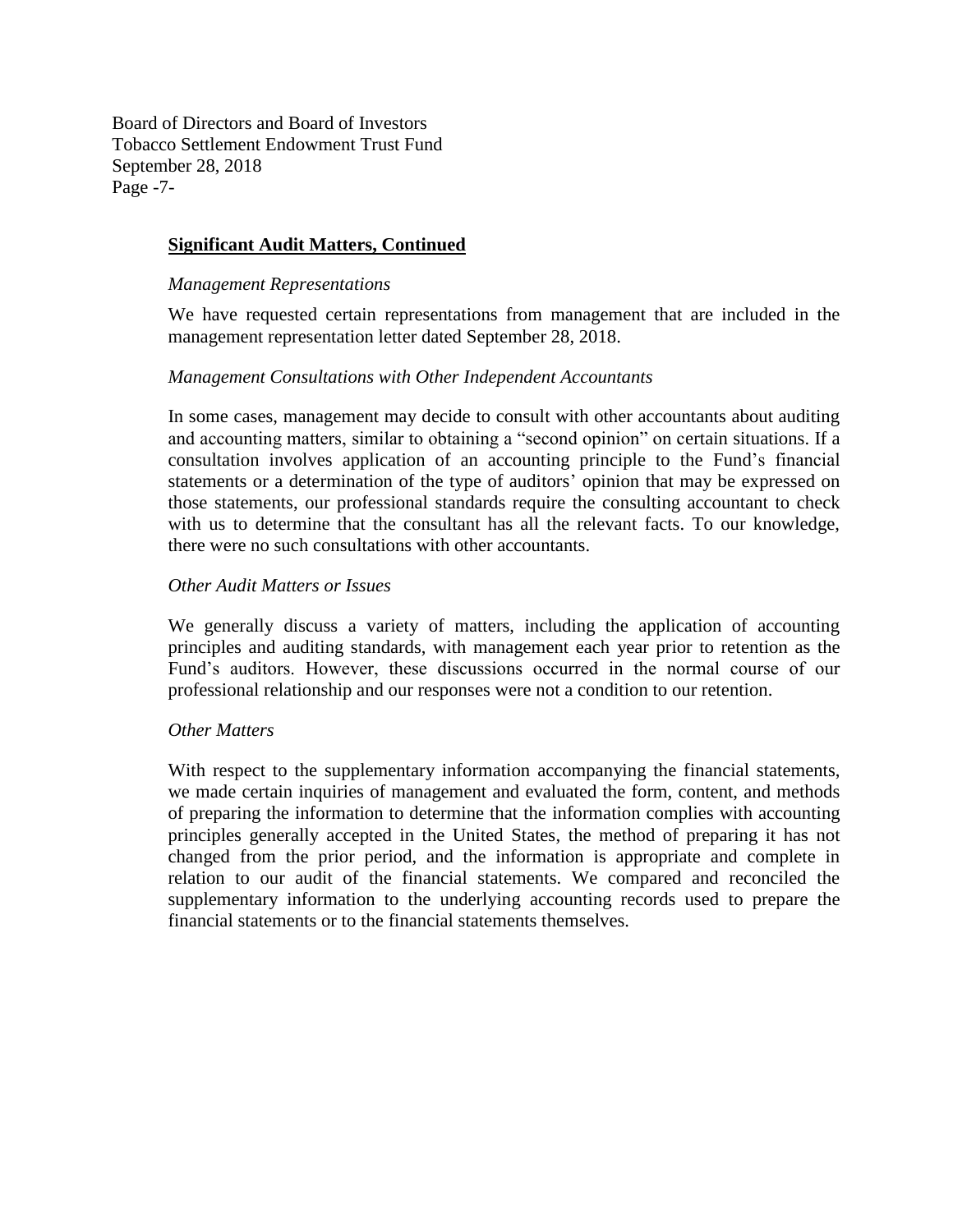Board of Directors and Board of Investors Tobacco Settlement Endowment Trust Fund September 28, 2018 Page -7-

## **Significant Audit Matters, Continued**

#### *Management Representations*

We have requested certain representations from management that are included in the management representation letter dated September 28, 2018.

## *Management Consultations with Other Independent Accountants*

In some cases, management may decide to consult with other accountants about auditing and accounting matters, similar to obtaining a "second opinion" on certain situations. If a consultation involves application of an accounting principle to the Fund's financial statements or a determination of the type of auditors' opinion that may be expressed on those statements, our professional standards require the consulting accountant to check with us to determine that the consultant has all the relevant facts. To our knowledge, there were no such consultations with other accountants.

## *Other Audit Matters or Issues*

We generally discuss a variety of matters, including the application of accounting principles and auditing standards, with management each year prior to retention as the Fund's auditors. However, these discussions occurred in the normal course of our professional relationship and our responses were not a condition to our retention.

## *Other Matters*

With respect to the supplementary information accompanying the financial statements, we made certain inquiries of management and evaluated the form, content, and methods of preparing the information to determine that the information complies with accounting principles generally accepted in the United States, the method of preparing it has not changed from the prior period, and the information is appropriate and complete in relation to our audit of the financial statements. We compared and reconciled the supplementary information to the underlying accounting records used to prepare the financial statements or to the financial statements themselves.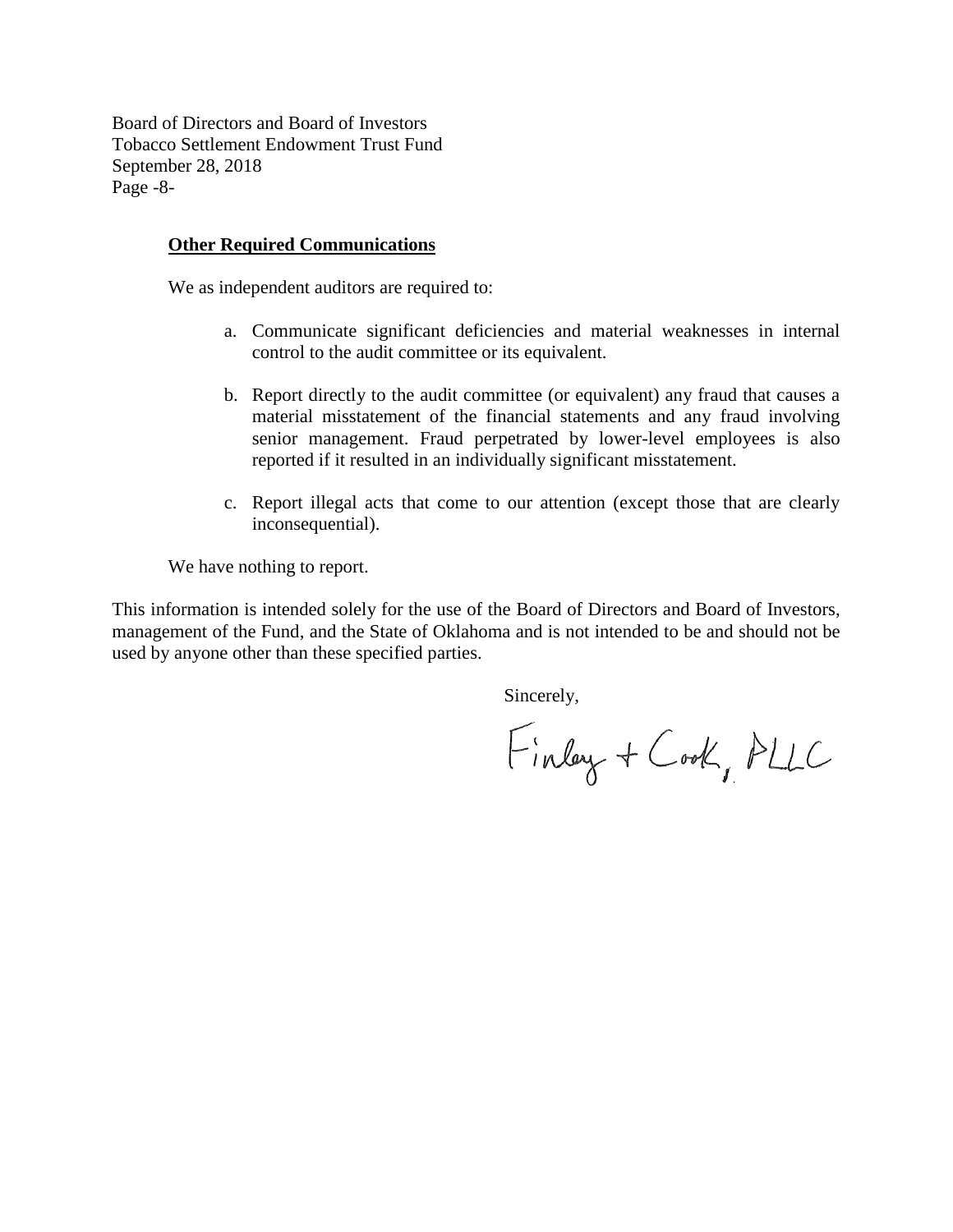Board of Directors and Board of Investors Tobacco Settlement Endowment Trust Fund September 28, 2018 Page -8-

#### **Other Required Communications**

We as independent auditors are required to:

- a. Communicate significant deficiencies and material weaknesses in internal control to the audit committee or its equivalent.
- b. Report directly to the audit committee (or equivalent) any fraud that causes a material misstatement of the financial statements and any fraud involving senior management. Fraud perpetrated by lower-level employees is also reported if it resulted in an individually significant misstatement.
- c. Report illegal acts that come to our attention (except those that are clearly inconsequential).

We have nothing to report.

This information is intended solely for the use of the Board of Directors and Board of Investors, management of the Fund, and the State of Oklahoma and is not intended to be and should not be used by anyone other than these specified parties.

Sincerely,

Finlay + Cook, PLLC